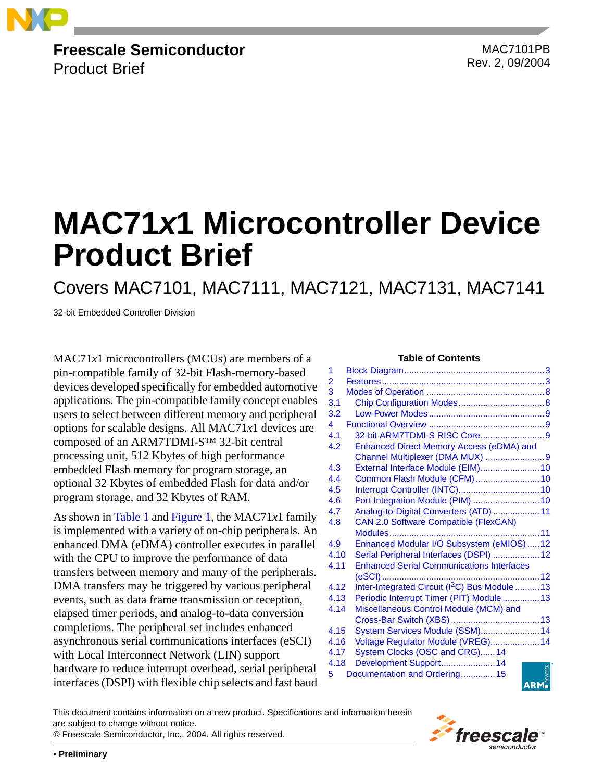

**Freescale Semiconductor** Product Brief

<span id="page-0-0"></span>MAC7101PB Rev. 2, 09/2004

# **MAC71***x***1 Microcontroller Device Product Brief**

Covers MAC7101, MAC7111, MAC7121, MAC7131, MAC7141

32-bit Embedded Controller Division

MAC71*x*1 microcontrollers (MCUs) are members of a **Table of Contents** pin-compatible family of 32-bit Flash-memory-based devices developed specifically for embedded automotive applications. The pin-compatible family concept enables users to select between different memory and peripheral options for scalable designs. All MAC71*x*1 devices are composed of an ARM7TDMI-S™ 32-bit central processing unit, 512 Kbytes of high performance embedded Flash memory for program storage, an optional 32 Kbytes of embedded Flash for data and/or program storage, and 32 Kbytes of RAM.

As shown in [Table 1](#page-1-0) and [Figure 1](#page-2-2), the MAC71*x*1 family is implemented with a variety of on-chip peripherals. An enhanced DMA (eDMA) controller executes in parallel with the CPU to improve the performance of data transfers between memory and many of the peripherals. DMA transfers may be triggered by various peripheral events, such as data frame transmission or reception, elapsed timer periods, and analog-to-data conversion completions. The peripheral set includes enhanced asynchronous serial communications interfaces (eSCI) with Local Interconnect Network (LIN) support hardware to reduce interrupt overhead, serial peripheral interfaces (DSPI) with flexible chip selects and fast baud

| 1    |                                                               |    |
|------|---------------------------------------------------------------|----|
| 2    |                                                               |    |
| 3    |                                                               |    |
| 3.1  |                                                               |    |
| 3.2  |                                                               |    |
| 4    |                                                               |    |
| 4.1  | 32-bit ARM7TDMI-S RISC Core9                                  |    |
| 4.2  | Enhanced Direct Memory Access (eDMA) and                      |    |
|      | Channel Multiplexer (DMA MUX) 9                               |    |
| 4.3  | External Interface Module (EIM) 10                            |    |
| 4.4  | Common Flash Module (CFM)  10                                 |    |
| 4.5  |                                                               |    |
| 4.6  | Port Integration Module (PIM)  10                             |    |
| 4.7  | Analog-to-Digital Converters (ATD)  11                        |    |
| 4.8  | <b>CAN 2.0 Software Compatible (FlexCAN)</b>                  |    |
|      | Modules                                                       | 11 |
| 4.9  | Enhanced Modular I/O Subsystem (eMIOS)  12                    |    |
| 4.10 | Serial Peripheral Interfaces (DSPI)  12                       |    |
| 4.11 | <b>Enhanced Serial Communications Interfaces</b>              |    |
|      | (eSCI)                                                        |    |
| 4.12 | Inter-Integrated Circuit (I <sup>2</sup> C) Bus Module  13    |    |
| 4.13 | Periodic Interrupt Timer (PIT) Module  13                     |    |
| 4.14 | Miscellaneous Control Module (MCM) and                        |    |
|      |                                                               |    |
| 4.15 | System Services Module (SSM) 14                               |    |
| 4.16 | Voltage Regulator Module (VREG) 14                            |    |
| 4.17 | System Clocks (OSC and CRG)14                                 |    |
| 4.18 | Development Support 14                                        |    |
| 5    | <b>Example</b><br><b>ARM</b><br>Documentation and Ordering 15 |    |
|      |                                                               |    |

This document contains information on a new product. Specifications and information herein are subject to change without notice.



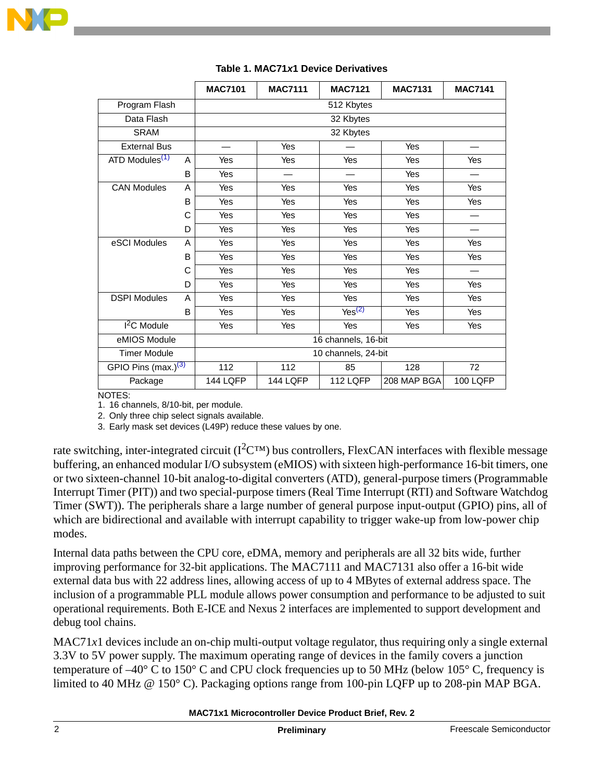

<span id="page-1-0"></span>

|                            |   | <b>MAC7101</b>      | <b>MAC7111</b> | <b>MAC7121</b>     | <b>MAC7131</b> | <b>MAC7141</b>  |  |
|----------------------------|---|---------------------|----------------|--------------------|----------------|-----------------|--|
| Program Flash              |   | 512 Kbytes          |                |                    |                |                 |  |
| Data Flash                 |   | 32 Kbytes           |                |                    |                |                 |  |
| <b>SRAM</b>                |   | 32 Kbytes           |                |                    |                |                 |  |
| <b>External Bus</b>        |   |                     | Yes            |                    | Yes            |                 |  |
| ATD Modules <sup>(1)</sup> | A | Yes                 | Yes            | Yes                | Yes            | Yes             |  |
|                            | B | Yes                 |                |                    | Yes            |                 |  |
| <b>CAN Modules</b>         | A | Yes                 | Yes            | Yes                | Yes            | Yes             |  |
|                            | B | Yes                 | Yes            | Yes                | Yes            | Yes             |  |
|                            | C | Yes                 | Yes            | Yes                | Yes            |                 |  |
|                            | D | Yes                 | Yes            | Yes                | Yes            |                 |  |
| eSCI Modules               | A | Yes                 | Yes            | Yes                | Yes            | Yes             |  |
|                            | B | Yes                 | Yes            | Yes                | Yes            | Yes             |  |
|                            | C | Yes                 | Yes            | Yes                | Yes            |                 |  |
|                            | D | Yes                 | Yes            | Yes                | Yes            | Yes             |  |
| <b>DSPI Modules</b>        | A | Yes                 | Yes            | Yes                | Yes            | Yes             |  |
|                            | B | Yes                 | Yes            | Yes <sup>(2)</sup> | Yes            | Yes             |  |
| $I2C$ Module               |   | Yes                 | Yes            | Yes                | Yes            | Yes             |  |
| eMIOS Module               |   | 16 channels, 16-bit |                |                    |                |                 |  |
| <b>Timer Module</b>        |   | 10 channels, 24-bit |                |                    |                |                 |  |
| GPIO Pins (max.) $(3)$     |   | 112                 | 112            | 85                 | 128            | 72              |  |
| Package                    |   | 144 LQFP            | 144 LQFP       | 112 LQFP           | 208 MAP BGA    | <b>100 LQFP</b> |  |

### **Table 1. MAC71***x***1 Device Derivatives**

NOTES:

1. 16 channels, 8/10-bit, per module.

2. Only three chip select signals available.

3. Early mask set devices (L49P) reduce these values by one.

rate switching, inter-integrated circuit  $(I^2C^{TM})$  bus controllers, FlexCAN interfaces with flexible message buffering, an enhanced modular I/O subsystem (eMIOS) with sixteen high-performance 16-bit timers, one or two sixteen-channel 10-bit analog-to-digital converters (ATD), general-purpose timers (Programmable Interrupt Timer (PIT)) and two special-purpose timers (Real Time Interrupt (RTI) and Software Watchdog Timer (SWT)). The peripherals share a large number of general purpose input-output (GPIO) pins, all of which are bidirectional and available with interrupt capability to trigger wake-up from low-power chip modes.

Internal data paths between the CPU core, eDMA, memory and peripherals are all 32 bits wide, further improving performance for 32-bit applications. The MAC7111 and MAC7131 also offer a 16-bit wide external data bus with 22 address lines, allowing access of up to 4 MBytes of external address space. The inclusion of a programmable PLL module allows power consumption and performance to be adjusted to suit operational requirements. Both E-ICE and Nexus 2 interfaces are implemented to support development and debug tool chains.

MAC71*x*1 devices include an on-chip multi-output voltage regulator, thus requiring only a single external 3.3V to 5V power supply. The maximum operating range of devices in the family covers a junction temperature of  $-40^{\circ}$  C to 150° C and CPU clock frequencies up to 50 MHz (below 105° C, frequency is limited to 40 MHz @ 150° C). Packaging options range from 100-pin LQFP up to 208-pin MAP BGA.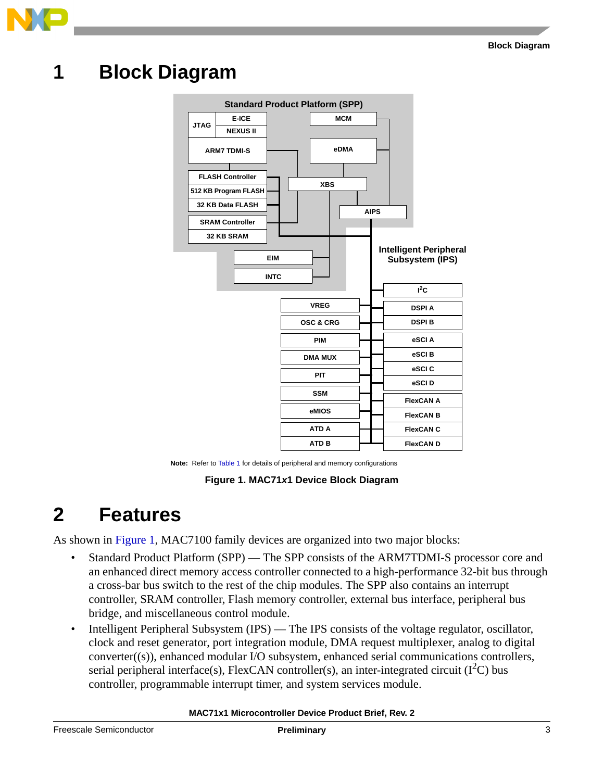

### <span id="page-2-0"></span>**1 Block Diagram**



**Note:** Refer to [Table 1](#page-1-0) for details of peripheral and memory configurations

**Figure 1. MAC71***x***1 Device Block Diagram**

### <span id="page-2-2"></span><span id="page-2-1"></span>**2 Features**

As shown in [Figure 1](#page-2-2), MAC7100 family devices are organized into two major blocks:

- Standard Product Platform (SPP) The SPP consists of the ARM7TDMI-S processor core and an enhanced direct memory access controller connected to a high-performance 32-bit bus through a cross-bar bus switch to the rest of the chip modules. The SPP also contains an interrupt controller, SRAM controller, Flash memory controller, external bus interface, peripheral bus bridge, and miscellaneous control module.
- Intelligent Peripheral Subsystem (IPS) The IPS consists of the voltage regulator, oscillator, clock and reset generator, port integration module, DMA request multiplexer, analog to digital converter((s)), enhanced modular I/O subsystem, enhanced serial communications controllers, serial peripheral interface(s), FlexCAN controller(s), an inter-integrated circuit ( $I<sup>2</sup>C$ ) bus controller, programmable interrupt timer, and system services module.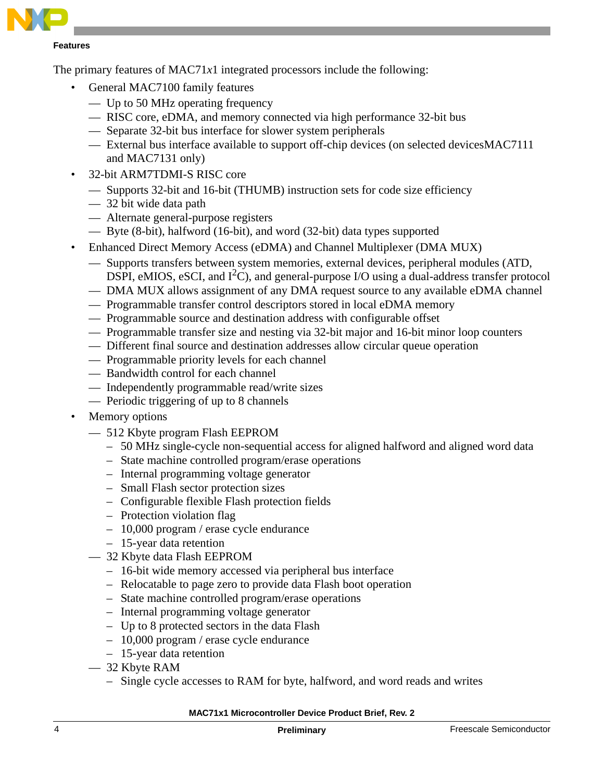

#### **Features**

The primary features of  $MAC71x1$  integrated processors include the following:

- General MAC7100 family features
	- Up to 50 MHz operating frequency
	- RISC core, eDMA, and memory connected via high performance 32-bit bus
	- Separate 32-bit bus interface for slower system peripherals
	- External bus interface available to support off-chip devices (on selected devicesMAC7111 and MAC7131 only)
- 32-bit ARM7TDMI-S RISC core
	- Supports 32-bit and 16-bit (THUMB) instruction sets for code size efficiency
	- 32 bit wide data path
	- Alternate general-purpose registers
	- Byte (8-bit), halfword (16-bit), and word (32-bit) data types supported
- Enhanced Direct Memory Access (eDMA) and Channel Multiplexer (DMA MUX)
	- Supports transfers between system memories, external devices, peripheral modules (ATD, DSPI, eMIOS, eSCI, and  $I^2C$ ), and general-purpose I/O using a dual-address transfer protocol
	- DMA MUX allows assignment of any DMA request source to any available eDMA channel
	- Programmable transfer control descriptors stored in local eDMA memory
	- Programmable source and destination address with configurable offset
	- Programmable transfer size and nesting via 32-bit major and 16-bit minor loop counters
	- Different final source and destination addresses allow circular queue operation
	- Programmable priority levels for each channel
	- Bandwidth control for each channel
	- Independently programmable read/write sizes
	- Periodic triggering of up to 8 channels
- Memory options
	- 512 Kbyte program Flash EEPROM
		- 50 MHz single-cycle non-sequential access for aligned halfword and aligned word data
		- State machine controlled program/erase operations
		- Internal programming voltage generator
		- Small Flash sector protection sizes
		- Configurable flexible Flash protection fields
		- Protection violation flag
		- 10,000 program / erase cycle endurance
		- 15-year data retention
	- 32 Kbyte data Flash EEPROM
		- 16-bit wide memory accessed via peripheral bus interface
		- Relocatable to page zero to provide data Flash boot operation
		- State machine controlled program/erase operations
		- Internal programming voltage generator
		- Up to 8 protected sectors in the data Flash
		- 10,000 program / erase cycle endurance
		- 15-year data retention
	- 32 Kbyte RAM
		- Single cycle accesses to RAM for byte, halfword, and word reads and writes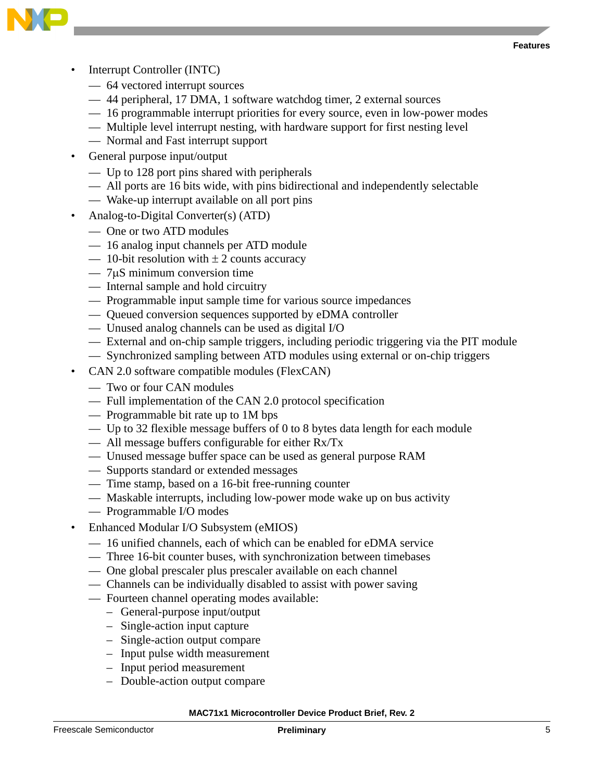

- Interrupt Controller (INTC)
	- 64 vectored interrupt sources
	- 44 peripheral, 17 DMA, 1 software watchdog timer, 2 external sources
	- 16 programmable interrupt priorities for every source, even in low-power modes
	- Multiple level interrupt nesting, with hardware support for first nesting level
	- Normal and Fast interrupt support
- General purpose input/output
	- Up to 128 port pins shared with peripherals
	- All ports are 16 bits wide, with pins bidirectional and independently selectable
	- Wake-up interrupt available on all port pins
- Analog-to-Digital Converter(s) (ATD)
	- One or two ATD modules
	- 16 analog input channels per ATD module
	- 10-bit resolution with  $\pm 2$  counts accuracy
	- 7µS minimum conversion time
	- Internal sample and hold circuitry
	- Programmable input sample time for various source impedances
	- Queued conversion sequences supported by eDMA controller
	- Unused analog channels can be used as digital I/O
	- External and on-chip sample triggers, including periodic triggering via the PIT module
	- Synchronized sampling between ATD modules using external or on-chip triggers
- CAN 2.0 software compatible modules (FlexCAN)
	- Two or four CAN modules
	- Full implementation of the CAN 2.0 protocol specification
	- Programmable bit rate up to 1M bps
	- Up to 32 flexible message buffers of 0 to 8 bytes data length for each module
	- All message buffers configurable for either Rx/Tx
	- Unused message buffer space can be used as general purpose RAM
	- Supports standard or extended messages
	- Time stamp, based on a 16-bit free-running counter
	- Maskable interrupts, including low-power mode wake up on bus activity
	- Programmable I/O modes
- Enhanced Modular I/O Subsystem (eMIOS)
	- 16 unified channels, each of which can be enabled for eDMA service
	- Three 16-bit counter buses, with synchronization between timebases
	- One global prescaler plus prescaler available on each channel
	- Channels can be individually disabled to assist with power saving
	- Fourteen channel operating modes available:
		- General-purpose input/output
		- Single-action input capture
		- Single-action output compare
		- Input pulse width measurement
		- Input period measurement
		- Double-action output compare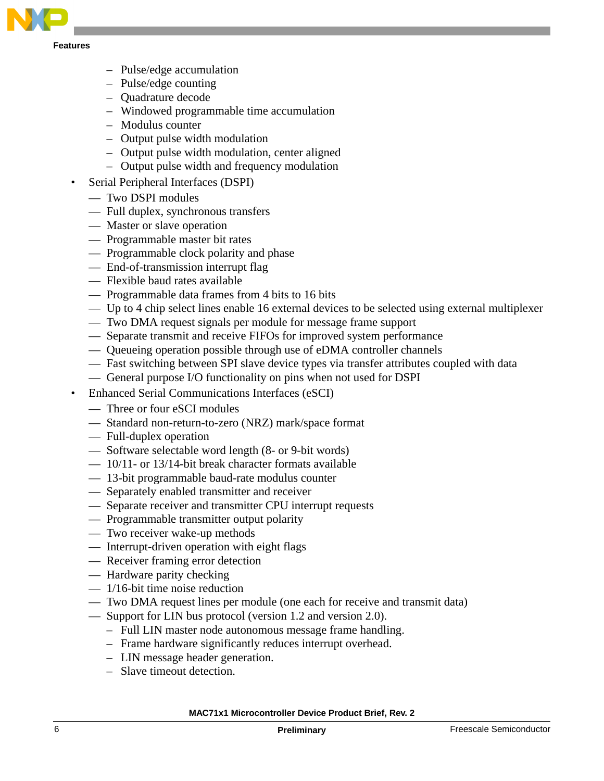

**Features**

- Pulse/edge accumulation
- Pulse/edge counting
- Quadrature decode
- Windowed programmable time accumulation
- Modulus counter
- Output pulse width modulation
- Output pulse width modulation, center aligned
- Output pulse width and frequency modulation
- Serial Peripheral Interfaces (DSPI)
	- Two DSPI modules
	- Full duplex, synchronous transfers
	- Master or slave operation
	- Programmable master bit rates
	- Programmable clock polarity and phase
	- End-of-transmission interrupt flag
	- Flexible baud rates available
	- Programmable data frames from 4 bits to 16 bits
	- Up to 4 chip select lines enable 16 external devices to be selected using external multiplexer
	- Two DMA request signals per module for message frame support
	- Separate transmit and receive FIFOs for improved system performance
	- Queueing operation possible through use of eDMA controller channels
	- Fast switching between SPI slave device types via transfer attributes coupled with data
	- General purpose I/O functionality on pins when not used for DSPI
- Enhanced Serial Communications Interfaces (eSCI)
	- Three or four eSCI modules
	- Standard non-return-to-zero (NRZ) mark/space format
	- Full-duplex operation
	- Software selectable word length (8- or 9-bit words)
	- 10/11- or 13/14-bit break character formats available
	- 13-bit programmable baud-rate modulus counter
	- Separately enabled transmitter and receiver
	- Separate receiver and transmitter CPU interrupt requests
	- Programmable transmitter output polarity
	- Two receiver wake-up methods
	- Interrupt-driven operation with eight flags
	- Receiver framing error detection
	- Hardware parity checking
	- $-1/16$ -bit time noise reduction
	- Two DMA request lines per module (one each for receive and transmit data)
	- Support for LIN bus protocol (version 1.2 and version 2.0).
		- Full LIN master node autonomous message frame handling.
		- Frame hardware significantly reduces interrupt overhead.
		- LIN message header generation.
		- Slave timeout detection.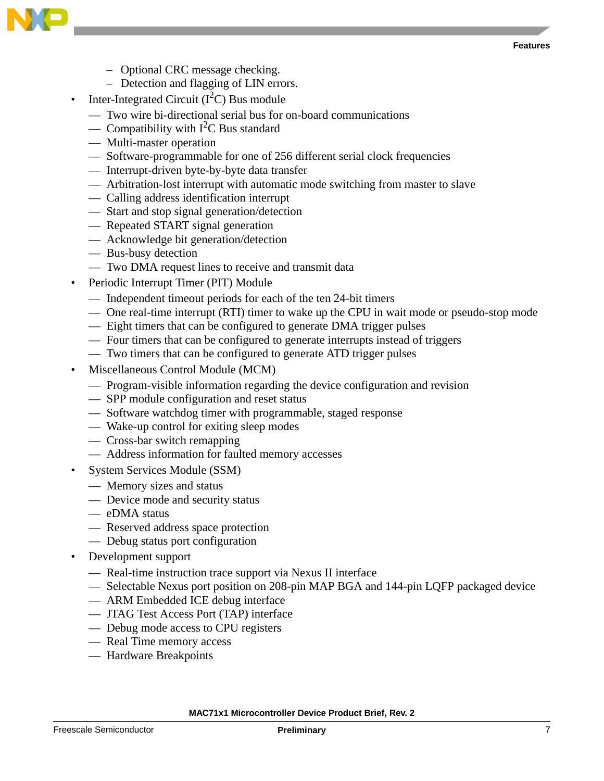



- Optional CRC message checking.
- Detection and flagging of LIN errors.
- Inter-Integrated Circuit  $(I<sup>2</sup>C)$  Bus module
	- Two wire bi-directional serial bus for on-board communications
	- Compatibility with  $I^2C$  Bus standard
	- Multi-master operation
	- Software-programmable for one of 256 different serial clock frequencies
	- Interrupt-driven byte-by-byte data transfer
	- Arbitration-lost interrupt with automatic mode switching from master to slave
	- Calling address identification interrupt
	- Start and stop signal generation/detection
	- Repeated START signal generation
	- Acknowledge bit generation/detection
	- Bus-busy detection
	- Two DMA request lines to receive and transmit data
- Periodic Interrupt Timer (PIT) Module
	- Independent timeout periods for each of the ten 24-bit timers
	- One real-time interrupt (RTI) timer to wake up the CPU in wait mode or pseudo-stop mode
	- Eight timers that can be configured to generate DMA trigger pulses
	- Four timers that can be configured to generate interrupts instead of triggers
	- Two timers that can be configured to generate ATD trigger pulses
- Miscellaneous Control Module (MCM)
	- Program-visible information regarding the device configuration and revision
	- SPP module configuration and reset status
	- Software watchdog timer with programmable, staged response
	- Wake-up control for exiting sleep modes
	- Cross-bar switch remapping
	- Address information for faulted memory accesses
- System Services Module (SSM)
	- Memory sizes and status
	- Device mode and security status
	- eDMA status
	- Reserved address space protection
	- Debug status port configuration
- Development support
	- Real-time instruction trace support via Nexus II interface
	- Selectable Nexus port position on 208-pin MAP BGA and 144-pin LQFP packaged device
	- ARM Embedded ICE debug interface
	- JTAG Test Access Port (TAP) interface
	- Debug mode access to CPU registers
	- Real Time memory access
	- Hardware Breakpoints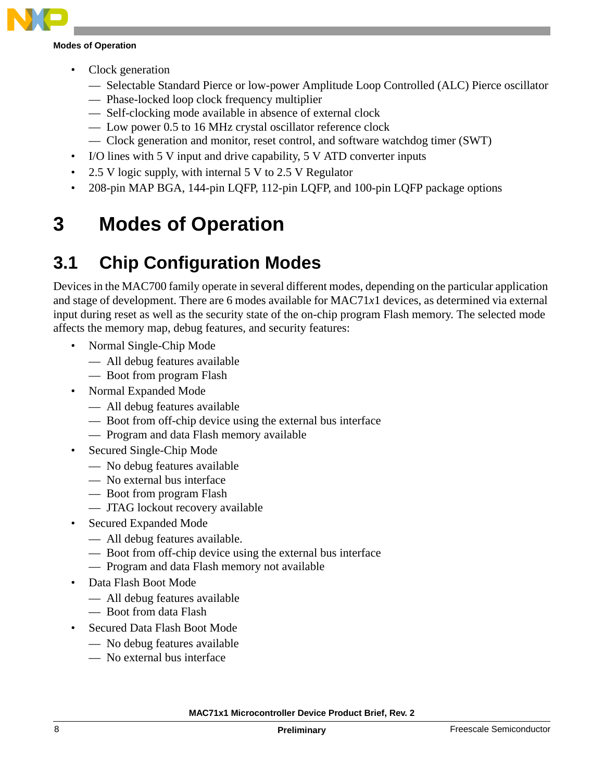

#### **Modes of Operation**

- Clock generation
	- Selectable Standard Pierce or low-power Amplitude Loop Controlled (ALC) Pierce oscillator
	- Phase-locked loop clock frequency multiplier
	- Self-clocking mode available in absence of external clock
	- Low power 0.5 to 16 MHz crystal oscillator reference clock
	- Clock generation and monitor, reset control, and software watchdog timer (SWT)
- I/O lines with 5 V input and drive capability, 5 V ATD converter inputs
- 2.5 V logic supply, with internal 5 V to 2.5 V Regulator
- 208-pin MAP BGA, 144-pin LQFP, 112-pin LQFP, and 100-pin LQFP package options

### <span id="page-7-0"></span>**3 Modes of Operation**

### <span id="page-7-1"></span>**3.1 Chip Configuration Modes**

Devices in the MAC700 family operate in several different modes, depending on the particular application and stage of development. There are 6 modes available for MAC71*x*1 devices, as determined via external input during reset as well as the security state of the on-chip program Flash memory. The selected mode affects the memory map, debug features, and security features:

- Normal Single-Chip Mode
	- All debug features available
	- Boot from program Flash
- Normal Expanded Mode
	- All debug features available
	- Boot from off-chip device using the external bus interface
	- Program and data Flash memory available
- Secured Single-Chip Mode
	- No debug features available
	- No external bus interface
	- Boot from program Flash
	- JTAG lockout recovery available
- Secured Expanded Mode
	- All debug features available.
	- Boot from off-chip device using the external bus interface
	- Program and data Flash memory not available
- Data Flash Boot Mode
	- All debug features available
	- Boot from data Flash
- Secured Data Flash Boot Mode
	- No debug features available
	- No external bus interface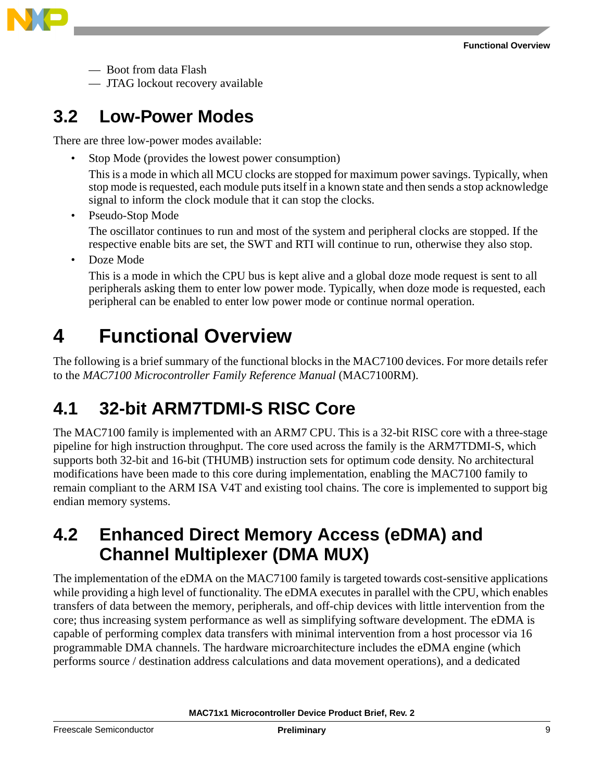

— Boot from data Flash

— JTAG lockout recovery available

### <span id="page-8-3"></span>**3.2 Low-Power Modes**

There are three low-power modes available:

Stop Mode (provides the lowest power consumption)

This is a mode in which all MCU clocks are stopped for maximum power savings. Typically, when stop mode is requested, each module puts itself in a known state and then sends a stop acknowledge signal to inform the clock module that it can stop the clocks.

• Pseudo-Stop Mode

The oscillator continues to run and most of the system and peripheral clocks are stopped. If the respective enable bits are set, the SWT and RTI will continue to run, otherwise they also stop.

Doze Mode

This is a mode in which the CPU bus is kept alive and a global doze mode request is sent to all peripherals asking them to enter low power mode. Typically, when doze mode is requested, each peripheral can be enabled to enter low power mode or continue normal operation.

### <span id="page-8-0"></span>**4 Functional Overview**

The following is a brief summary of the functional blocks in the MAC7100 devices. For more details refer to the *MAC7100 Microcontroller Family Reference Manual* (MAC7100RM).

### <span id="page-8-1"></span>**4.1 32-bit ARM7TDMI-S RISC Core**

The MAC7100 family is implemented with an ARM7 CPU. This is a 32-bit RISC core with a three-stage pipeline for high instruction throughput. The core used across the family is the ARM7TDMI-S, which supports both 32-bit and 16-bit (THUMB) instruction sets for optimum code density. No architectural modifications have been made to this core during implementation, enabling the MAC7100 family to remain compliant to the ARM ISA V4T and existing tool chains. The core is implemented to support big endian memory systems.

### <span id="page-8-2"></span>**4.2 Enhanced Direct Memory Access (eDMA) and Channel Multiplexer (DMA MUX)**

The implementation of the eDMA on the MAC7100 family is targeted towards cost-sensitive applications while providing a high level of functionality. The eDMA executes in parallel with the CPU, which enables transfers of data between the memory, peripherals, and off-chip devices with little intervention from the core; thus increasing system performance as well as simplifying software development. The eDMA is capable of performing complex data transfers with minimal intervention from a host processor via 16 programmable DMA channels. The hardware microarchitecture includes the eDMA engine (which performs source / destination address calculations and data movement operations), and a dedicated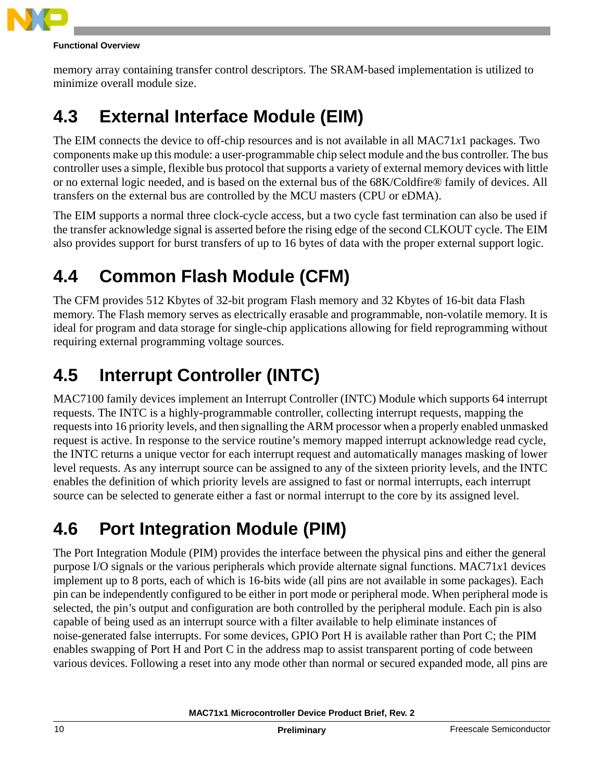

#### **Functional Overview**

memory array containing transfer control descriptors. The SRAM-based implementation is utilized to minimize overall module size.

### <span id="page-9-3"></span>**4.3 External Interface Module (EIM)**

The EIM connects the device to off-chip resources and is not available in all MAC71*x*1 packages. Two components make up this module: a user-programmable chip select module and the bus controller. The bus controller uses a simple, flexible bus protocol that supports a variety of external memory devices with little or no external logic needed, and is based on the external bus of the 68K/Coldfire® family of devices. All transfers on the external bus are controlled by the MCU masters (CPU or eDMA).

The EIM supports a normal three clock-cycle access, but a two cycle fast termination can also be used if the transfer acknowledge signal is asserted before the rising edge of the second CLKOUT cycle. The EIM also provides support for burst transfers of up to 16 bytes of data with the proper external support logic.

### <span id="page-9-0"></span>**4.4 Common Flash Module (CFM)**

The CFM provides 512 Kbytes of 32-bit program Flash memory and 32 Kbytes of 16-bit data Flash memory. The Flash memory serves as electrically erasable and programmable, non-volatile memory. It is ideal for program and data storage for single-chip applications allowing for field reprogramming without requiring external programming voltage sources.

### <span id="page-9-1"></span>**4.5 Interrupt Controller (INTC)**

MAC7100 family devices implement an Interrupt Controller (INTC) Module which supports 64 interrupt requests. The INTC is a highly-programmable controller, collecting interrupt requests, mapping the requests into 16 priority levels, and then signalling the ARM processor when a properly enabled unmasked request is active. In response to the service routine's memory mapped interrupt acknowledge read cycle, the INTC returns a unique vector for each interrupt request and automatically manages masking of lower level requests. As any interrupt source can be assigned to any of the sixteen priority levels, and the INTC enables the definition of which priority levels are assigned to fast or normal interrupts, each interrupt source can be selected to generate either a fast or normal interrupt to the core by its assigned level.

### <span id="page-9-2"></span>**4.6 Port Integration Module (PIM)**

The Port Integration Module (PIM) provides the interface between the physical pins and either the general purpose I/O signals or the various peripherals which provide alternate signal functions. MAC71*x*1 devices implement up to 8 ports, each of which is 16-bits wide (all pins are not available in some packages). Each pin can be independently configured to be either in port mode or peripheral mode. When peripheral mode is selected, the pin's output and configuration are both controlled by the peripheral module. Each pin is also capable of being used as an interrupt source with a filter available to help eliminate instances of noise-generated false interrupts. For some devices, GPIO Port H is available rather than Port C; the PIM enables swapping of Port H and Port C in the address map to assist transparent porting of code between various devices. Following a reset into any mode other than normal or secured expanded mode, all pins are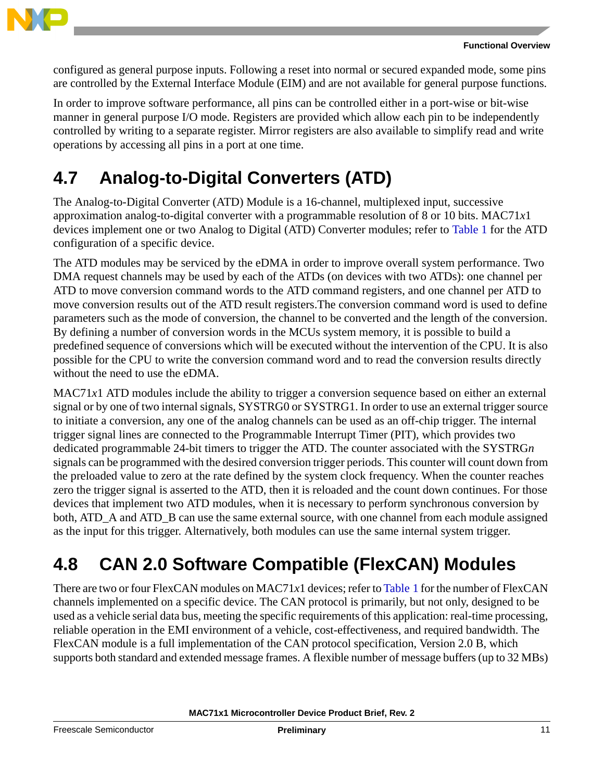

configured as general purpose inputs. Following a reset into normal or secured expanded mode, some pins are controlled by the External Interface Module (EIM) and are not available for general purpose functions.

In order to improve software performance, all pins can be controlled either in a port-wise or bit-wise manner in general purpose I/O mode. Registers are provided which allow each pin to be independently controlled by writing to a separate register. Mirror registers are also available to simplify read and write operations by accessing all pins in a port at one time.

### <span id="page-10-0"></span>**4.7 Analog-to-Digital Converters (ATD)**

The Analog-to-Digital Converter (ATD) Module is a 16-channel, multiplexed input, successive approximation analog-to-digital converter with a programmable resolution of 8 or 10 bits. MAC71*x*1 devices implement one or two Analog to Digital (ATD) Converter modules; refer to [Table 1](#page-1-0) for the ATD configuration of a specific device.

The ATD modules may be serviced by the eDMA in order to improve overall system performance. Two DMA request channels may be used by each of the ATDs (on devices with two ATDs): one channel per ATD to move conversion command words to the ATD command registers, and one channel per ATD to move conversion results out of the ATD result registers.The conversion command word is used to define parameters such as the mode of conversion, the channel to be converted and the length of the conversion. By defining a number of conversion words in the MCUs system memory, it is possible to build a predefined sequence of conversions which will be executed without the intervention of the CPU. It is also possible for the CPU to write the conversion command word and to read the conversion results directly without the need to use the eDMA.

MAC71*x*1 ATD modules include the ability to trigger a conversion sequence based on either an external signal or by one of two internal signals, SYSTRG0 or SYSTRG1. In order to use an external trigger source to initiate a conversion, any one of the analog channels can be used as an off-chip trigger. The internal trigger signal lines are connected to the Programmable Interrupt Timer (PIT), which provides two dedicated programmable 24-bit timers to trigger the ATD. The counter associated with the SYSTRG*n* signals can be programmed with the desired conversion trigger periods. This counter will count down from the preloaded value to zero at the rate defined by the system clock frequency. When the counter reaches zero the trigger signal is asserted to the ATD, then it is reloaded and the count down continues. For those devices that implement two ATD modules, when it is necessary to perform synchronous conversion by both, ATD A and ATD B can use the same external source, with one channel from each module assigned as the input for this trigger. Alternatively, both modules can use the same internal system trigger.

### <span id="page-10-1"></span>**4.8 CAN 2.0 Software Compatible (FlexCAN) Modules**

There are two or four FlexCAN modules on MAC71*x*1 devices; refer to [Table 1](#page-1-0) for the number of FlexCAN channels implemented on a specific device. The CAN protocol is primarily, but not only, designed to be used as a vehicle serial data bus, meeting the specific requirements of this application: real-time processing, reliable operation in the EMI environment of a vehicle, cost-effectiveness, and required bandwidth. The FlexCAN module is a full implementation of the CAN protocol specification, Version 2.0 B, which supports both standard and extended message frames. A flexible number of message buffers (up to 32 MBs)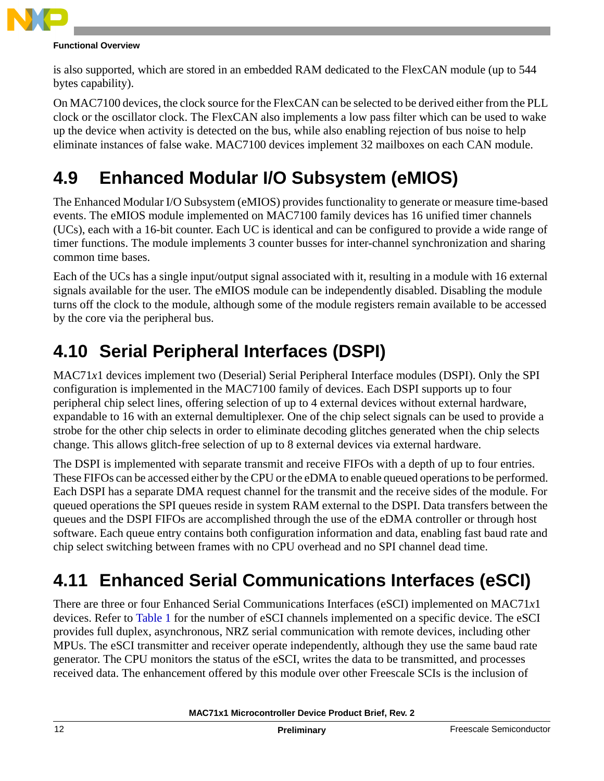

#### **Functional Overview**

is also supported, which are stored in an embedded RAM dedicated to the FlexCAN module (up to 544 bytes capability).

On MAC7100 devices, the clock source for the FlexCAN can be selected to be derived either from the PLL clock or the oscillator clock. The FlexCAN also implements a low pass filter which can be used to wake up the device when activity is detected on the bus, while also enabling rejection of bus noise to help eliminate instances of false wake. MAC7100 devices implement 32 mailboxes on each CAN module.

### <span id="page-11-0"></span>**4.9 Enhanced Modular I/O Subsystem (eMIOS)**

The Enhanced Modular I/O Subsystem (eMIOS) provides functionality to generate or measure time-based events. The eMIOS module implemented on MAC7100 family devices has 16 unified timer channels (UCs), each with a 16-bit counter. Each UC is identical and can be configured to provide a wide range of timer functions. The module implements 3 counter busses for inter-channel synchronization and sharing common time bases.

Each of the UCs has a single input/output signal associated with it, resulting in a module with 16 external signals available for the user. The eMIOS module can be independently disabled. Disabling the module turns off the clock to the module, although some of the module registers remain available to be accessed by the core via the peripheral bus.

### <span id="page-11-1"></span>**4.10 Serial Peripheral Interfaces (DSPI)**

MAC71*x*1 devices implement two (Deserial) Serial Peripheral Interface modules (DSPI). Only the SPI configuration is implemented in the MAC7100 family of devices. Each DSPI supports up to four peripheral chip select lines, offering selection of up to 4 external devices without external hardware, expandable to 16 with an external demultiplexer. One of the chip select signals can be used to provide a strobe for the other chip selects in order to eliminate decoding glitches generated when the chip selects change. This allows glitch-free selection of up to 8 external devices via external hardware.

The DSPI is implemented with separate transmit and receive FIFOs with a depth of up to four entries. These FIFOs can be accessed either by the CPU or the eDMA to enable queued operations to be performed. Each DSPI has a separate DMA request channel for the transmit and the receive sides of the module. For queued operations the SPI queues reside in system RAM external to the DSPI. Data transfers between the queues and the DSPI FIFOs are accomplished through the use of the eDMA controller or through host software. Each queue entry contains both configuration information and data, enabling fast baud rate and chip select switching between frames with no CPU overhead and no SPI channel dead time.

### <span id="page-11-2"></span>**4.11 Enhanced Serial Communications Interfaces (eSCI)**

There are three or four Enhanced Serial Communications Interfaces (eSCI) implemented on MAC71*x*1 devices. Refer to [Table 1](#page-1-0) for the number of eSCI channels implemented on a specific device. The eSCI provides full duplex, asynchronous, NRZ serial communication with remote devices, including other MPUs. The eSCI transmitter and receiver operate independently, although they use the same baud rate generator. The CPU monitors the status of the eSCI, writes the data to be transmitted, and processes received data. The enhancement offered by this module over other Freescale SCIs is the inclusion of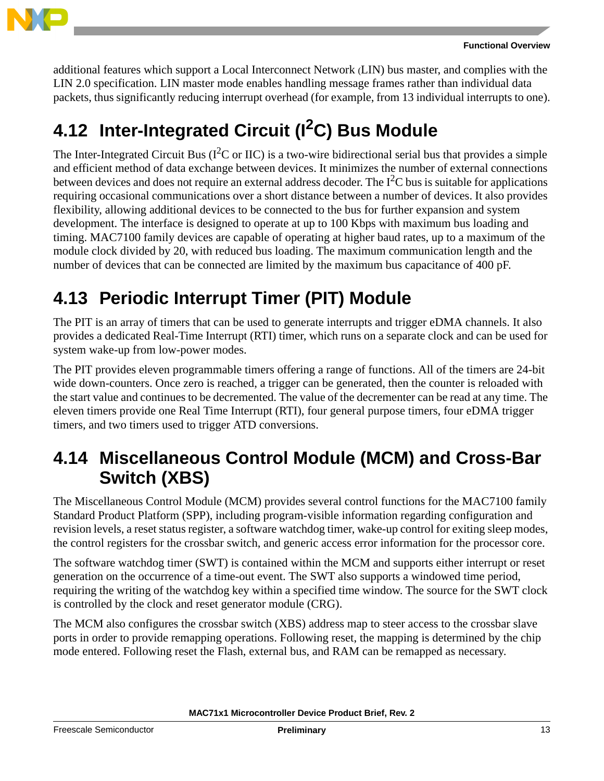

```
Functional Overview
```
additional features which support a Local Interconnect Network (LIN) bus master, and complies with the LIN 2.0 specification. LIN master mode enables handling message frames rather than individual data packets, thus significantly reducing interrupt overhead (for example, from 13 individual interrupts to one).

## <span id="page-12-0"></span>**4.12 Inter-Integrated Circuit (I<sup>2</sup>C) Bus Module**

The Inter-Integrated Circuit Bus ( $I^2C$  or IIC) is a two-wire bidirectional serial bus that provides a simple and efficient method of data exchange between devices. It minimizes the number of external connections between devices and does not require an external address decoder. The  $I<sup>2</sup>C$  bus is suitable for applications requiring occasional communications over a short distance between a number of devices. It also provides flexibility, allowing additional devices to be connected to the bus for further expansion and system development. The interface is designed to operate at up to 100 Kbps with maximum bus loading and timing. MAC7100 family devices are capable of operating at higher baud rates, up to a maximum of the module clock divided by 20, with reduced bus loading. The maximum communication length and the number of devices that can be connected are limited by the maximum bus capacitance of 400 pF.

### <span id="page-12-1"></span>**4.13 Periodic Interrupt Timer (PIT) Module**

The PIT is an array of timers that can be used to generate interrupts and trigger eDMA channels. It also provides a dedicated Real-Time Interrupt (RTI) timer, which runs on a separate clock and can be used for system wake-up from low-power modes.

The PIT provides eleven programmable timers offering a range of functions. All of the timers are 24-bit wide down-counters. Once zero is reached, a trigger can be generated, then the counter is reloaded with the start value and continues to be decremented. The value of the decrementer can be read at any time. The eleven timers provide one Real Time Interrupt (RTI), four general purpose timers, four eDMA trigger timers, and two timers used to trigger ATD conversions.

### <span id="page-12-2"></span>**4.14 Miscellaneous Control Module (MCM) and Cross-Bar Switch (XBS)**

The Miscellaneous Control Module (MCM) provides several control functions for the MAC7100 family Standard Product Platform (SPP), including program-visible information regarding configuration and revision levels, a reset status register, a software watchdog timer, wake-up control for exiting sleep modes, the control registers for the crossbar switch, and generic access error information for the processor core.

The software watchdog timer (SWT) is contained within the MCM and supports either interrupt or reset generation on the occurrence of a time-out event. The SWT also supports a windowed time period, requiring the writing of the watchdog key within a specified time window. The source for the SWT clock is controlled by the clock and reset generator module (CRG).

The MCM also configures the crossbar switch (XBS) address map to steer access to the crossbar slave ports in order to provide remapping operations. Following reset, the mapping is determined by the chip mode entered. Following reset the Flash, external bus, and RAM can be remapped as necessary.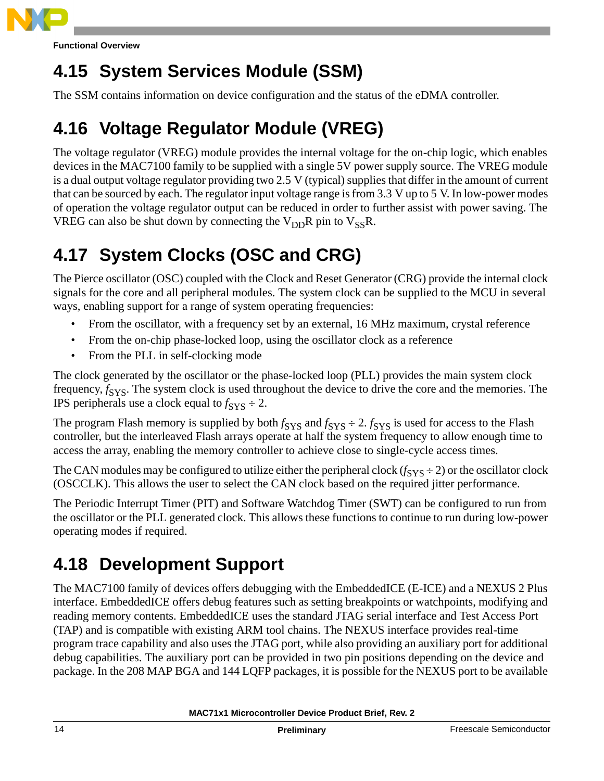

**Functional Overview**

### <span id="page-13-3"></span>**4.15 System Services Module (SSM)**

The SSM contains information on device configuration and the status of the eDMA controller.

### <span id="page-13-0"></span>**4.16 Voltage Regulator Module (VREG)**

The voltage regulator (VREG) module provides the internal voltage for the on-chip logic, which enables devices in the MAC7100 family to be supplied with a single 5V power supply source. The VREG module is a dual output voltage regulator providing two 2.5 V (typical) supplies that differ in the amount of current that can be sourced by each. The regulator input voltage range is from 3.3 V up to 5 V. In low-power modes of operation the voltage regulator output can be reduced in order to further assist with power saving. The VREG can also be shut down by connecting the  $V_{DD}R$  pin to  $V_{SS}R$ .

### <span id="page-13-1"></span>**4.17 System Clocks (OSC and CRG)**

The Pierce oscillator (OSC) coupled with the Clock and Reset Generator (CRG) provide the internal clock signals for the core and all peripheral modules. The system clock can be supplied to the MCU in several ways, enabling support for a range of system operating frequencies:

- From the oscillator, with a frequency set by an external, 16 MHz maximum, crystal reference
- From the on-chip phase-locked loop, using the oscillator clock as a reference
- From the PLL in self-clocking mode

The clock generated by the oscillator or the phase-locked loop (PLL) provides the main system clock frequency,  $f_{SYS}$ . The system clock is used throughout the device to drive the core and the memories. The IPS peripherals use a clock equal to  $f_{\text{SYS}} \div 2$ .

The program Flash memory is supplied by both  $f_{SYS}$  and  $f_{SYS} \div 2$ .  $f_{SYS}$  is used for access to the Flash controller, but the interleaved Flash arrays operate at half the system frequency to allow enough time to access the array, enabling the memory controller to achieve close to single-cycle access times.

The CAN modules may be configured to utilize either the peripheral clock  $(f_{SYS} \div 2)$  or the oscillator clock (OSCCLK). This allows the user to select the CAN clock based on the required jitter performance.

The Periodic Interrupt Timer (PIT) and Software Watchdog Timer (SWT) can be configured to run from the oscillator or the PLL generated clock. This allows these functions to continue to run during low-power operating modes if required.

### <span id="page-13-2"></span>**4.18 Development Support**

The MAC7100 family of devices offers debugging with the EmbeddedICE (E-ICE) and a NEXUS 2 Plus interface. EmbeddedICE offers debug features such as setting breakpoints or watchpoints, modifying and reading memory contents. EmbeddedICE uses the standard JTAG serial interface and Test Access Port (TAP) and is compatible with existing ARM tool chains. The NEXUS interface provides real-time program trace capability and also uses the JTAG port, while also providing an auxiliary port for additional debug capabilities. The auxiliary port can be provided in two pin positions depending on the device and package. In the 208 MAP BGA and 144 LQFP packages, it is possible for the NEXUS port to be available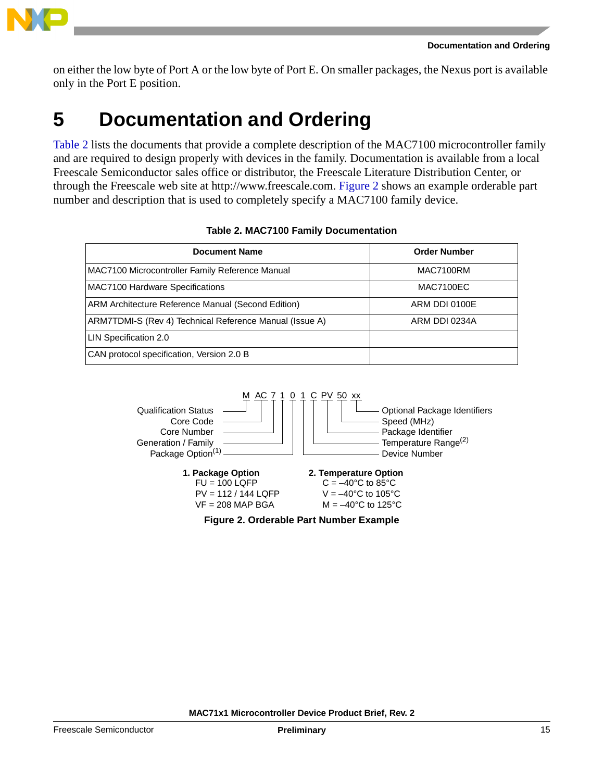

on either the low byte of Port A or the low byte of Port E. On smaller packages, the Nexus port is available only in the Port E position.

### <span id="page-14-0"></span>**5 Documentation and Ordering**

[Table 2](#page-14-1) lists the documents that provide a complete description of the MAC7100 microcontroller family and are required to design properly with devices in the family. Documentation is available from a local Freescale Semiconductor sales office or distributor, the Freescale Literature Distribution Center, or through the Freescale web site at http://www.freescale.com. [Figure 2](#page-14-2) shows an example orderable part number and description that is used to completely specify a MAC7100 family device.

<span id="page-14-1"></span>

| <b>Document Name</b>                                    | <b>Order Number</b> |
|---------------------------------------------------------|---------------------|
| MAC7100 Microcontroller Family Reference Manual         | MAC7100RM           |
| MAC7100 Hardware Specifications                         | <b>MAC7100EC</b>    |
| ARM Architecture Reference Manual (Second Edition)      | ARM DDI 0100E       |
| ARM7TDMI-S (Rev 4) Technical Reference Manual (Issue A) | ARM DDI 0234A       |
| LIN Specification 2.0                                   |                     |
| CAN protocol specification, Version 2.0 B               |                     |

#### **Table 2. MAC7100 Family Documentation**

<span id="page-14-2"></span>